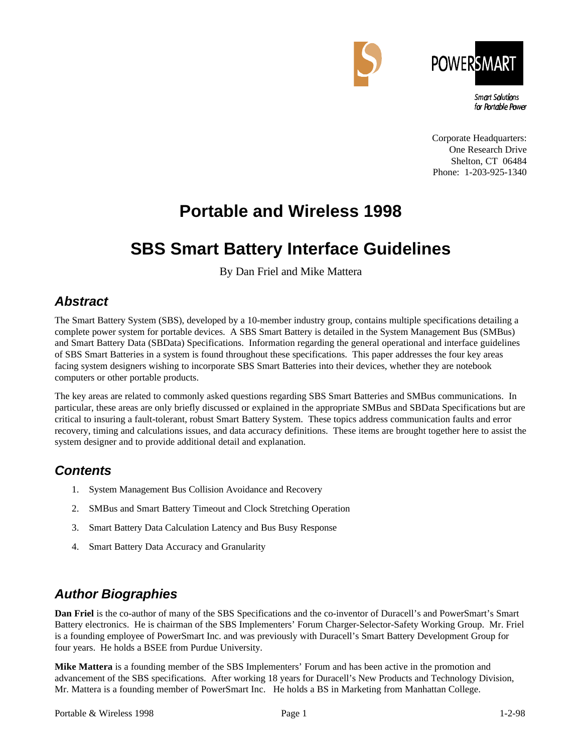



**Smart Solutions** for Portable Power

Corporate Headquarters: One Research Drive Shelton, CT 06484 Phone: 1-203-925-1340

# **Portable and Wireless 1998**

# **SBS Smart Battery Interface Guidelines**

By Dan Friel and Mike Mattera

### *Abstract*

The Smart Battery System (SBS), developed by a 10-member industry group, contains multiple specifications detailing a complete power system for portable devices. A SBS Smart Battery is detailed in the System Management Bus (SMBus) and Smart Battery Data (SBData) Specifications. Information regarding the general operational and interface guidelines of SBS Smart Batteries in a system is found throughout these specifications. This paper addresses the four key areas facing system designers wishing to incorporate SBS Smart Batteries into their devices, whether they are notebook computers or other portable products.

The key areas are related to commonly asked questions regarding SBS Smart Batteries and SMBus communications. In particular, these areas are only briefly discussed or explained in the appropriate SMBus and SBData Specifications but are critical to insuring a fault-tolerant, robust Smart Battery System. These topics address communication faults and error recovery, timing and calculations issues, and data accuracy definitions. These items are brought together here to assist the system designer and to provide additional detail and explanation.

### *Contents*

- 1. System Management Bus Collision Avoidance and Recovery
- 2. SMBus and Smart Battery Timeout and Clock Stretching Operation
- 3. Smart Battery Data Calculation Latency and Bus Busy Response
- 4. Smart Battery Data Accuracy and Granularity

## *Author Biographies*

**Dan Friel** is the co-author of many of the SBS Specifications and the co-inventor of Duracell's and PowerSmart's Smart Battery electronics. He is chairman of the SBS Implementers' Forum Charger-Selector-Safety Working Group. Mr. Friel is a founding employee of PowerSmart Inc. and was previously with Duracell's Smart Battery Development Group for four years. He holds a BSEE from Purdue University.

**Mike Mattera** is a founding member of the SBS Implementers' Forum and has been active in the promotion and advancement of the SBS specifications. After working 18 years for Duracell's New Products and Technology Division, Mr. Mattera is a founding member of PowerSmart Inc. He holds a BS in Marketing from Manhattan College.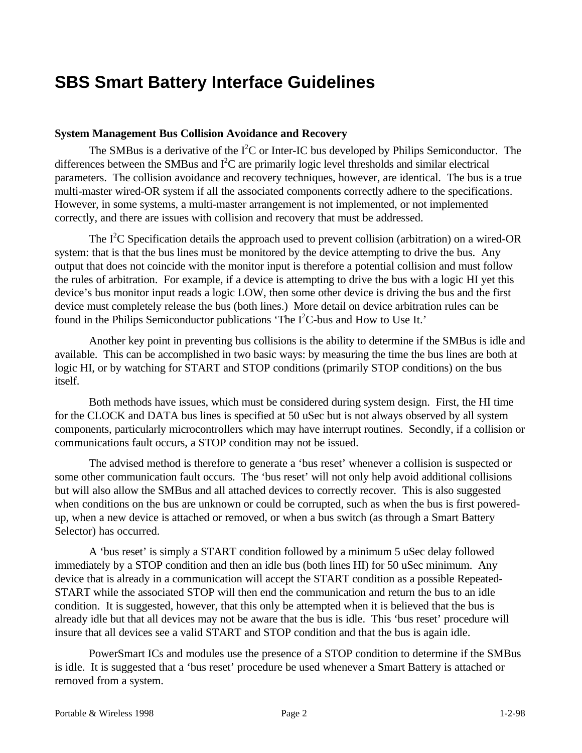## **SBS Smart Battery Interface Guidelines**

#### **System Management Bus Collision Avoidance and Recovery**

The SMBus is a derivative of the  $I^2C$  or Inter-IC bus developed by Philips Semiconductor. The differences between the SMBus and  $I^2C$  are primarily logic level thresholds and similar electrical parameters. The collision avoidance and recovery techniques, however, are identical. The bus is a true multi-master wired-OR system if all the associated components correctly adhere to the specifications. However, in some systems, a multi-master arrangement is not implemented, or not implemented correctly, and there are issues with collision and recovery that must be addressed.

The I<sup>2</sup>C Specification details the approach used to prevent collision (arbitration) on a wired-OR system: that is that the bus lines must be monitored by the device attempting to drive the bus. Any output that does not coincide with the monitor input is therefore a potential collision and must follow the rules of arbitration. For example, if a device is attempting to drive the bus with a logic HI yet this device's bus monitor input reads a logic LOW, then some other device is driving the bus and the first device must completely release the bus (both lines.) More detail on device arbitration rules can be found in the Philips Semiconductor publications 'The  $I<sup>2</sup>C$ -bus and How to Use It.'

Another key point in preventing bus collisions is the ability to determine if the SMBus is idle and available. This can be accomplished in two basic ways: by measuring the time the bus lines are both at logic HI, or by watching for START and STOP conditions (primarily STOP conditions) on the bus itself.

Both methods have issues, which must be considered during system design. First, the HI time for the CLOCK and DATA bus lines is specified at 50 uSec but is not always observed by all system components, particularly microcontrollers which may have interrupt routines. Secondly, if a collision or communications fault occurs, a STOP condition may not be issued.

The advised method is therefore to generate a 'bus reset' whenever a collision is suspected or some other communication fault occurs. The 'bus reset' will not only help avoid additional collisions but will also allow the SMBus and all attached devices to correctly recover. This is also suggested when conditions on the bus are unknown or could be corrupted, such as when the bus is first poweredup, when a new device is attached or removed, or when a bus switch (as through a Smart Battery Selector) has occurred.

A 'bus reset' is simply a START condition followed by a minimum 5 uSec delay followed immediately by a STOP condition and then an idle bus (both lines HI) for 50 uSec minimum. Any device that is already in a communication will accept the START condition as a possible Repeated-START while the associated STOP will then end the communication and return the bus to an idle condition. It is suggested, however, that this only be attempted when it is believed that the bus is already idle but that all devices may not be aware that the bus is idle. This 'bus reset' procedure will insure that all devices see a valid START and STOP condition and that the bus is again idle.

PowerSmart ICs and modules use the presence of a STOP condition to determine if the SMBus is idle. It is suggested that a 'bus reset' procedure be used whenever a Smart Battery is attached or removed from a system.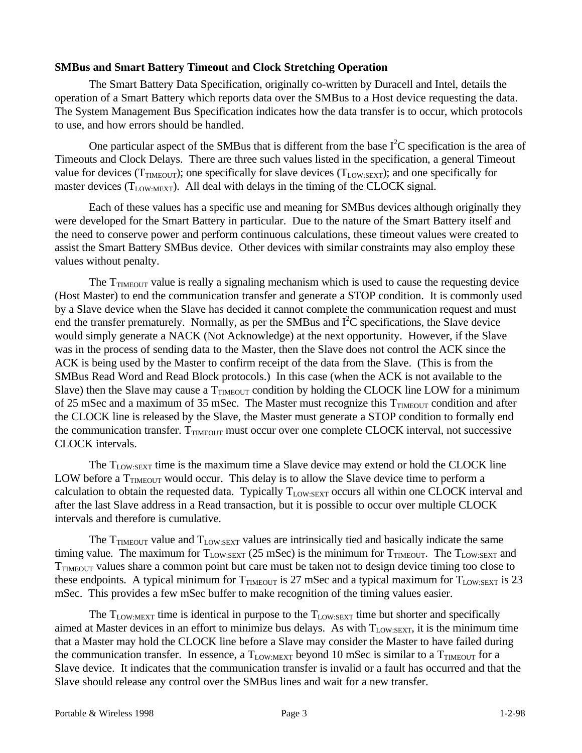### **SMBus and Smart Battery Timeout and Clock Stretching Operation**

The Smart Battery Data Specification, originally co-written by Duracell and Intel, details the operation of a Smart Battery which reports data over the SMBus to a Host device requesting the data. The System Management Bus Specification indicates how the data transfer is to occur, which protocols to use, and how errors should be handled.

One particular aspect of the SMBus that is different from the base  $I<sup>2</sup>C$  specification is the area of Timeouts and Clock Delays. There are three such values listed in the specification, a general Timeout value for devices ( $T_{\text{TMEOUT}}$ ); one specifically for slave devices ( $T_{\text{LOW:SEXT}}$ ); and one specifically for master devices  $(T_{LOW:MEXT})$ . All deal with delays in the timing of the CLOCK signal.

Each of these values has a specific use and meaning for SMBus devices although originally they were developed for the Smart Battery in particular. Due to the nature of the Smart Battery itself and the need to conserve power and perform continuous calculations, these timeout values were created to assist the Smart Battery SMBus device. Other devices with similar constraints may also employ these values without penalty.

The  $T_{\text{TMEOUT}}$  value is really a signaling mechanism which is used to cause the requesting device (Host Master) to end the communication transfer and generate a STOP condition. It is commonly used by a Slave device when the Slave has decided it cannot complete the communication request and must end the transfer prematurely. Normally, as per the SMBus and  $I<sup>2</sup>C$  specifications, the Slave device would simply generate a NACK (Not Acknowledge) at the next opportunity. However, if the Slave was in the process of sending data to the Master, then the Slave does not control the ACK since the ACK is being used by the Master to confirm receipt of the data from the Slave. (This is from the SMBus Read Word and Read Block protocols.) In this case (when the ACK is not available to the Slave) then the Slave may cause a  $T_{\text{TMEOUT}}$  condition by holding the CLOCK line LOW for a minimum of 25 mSec and a maximum of 35 mSec. The Master must recognize this  $T_{\text{THH}\odot\text{UT}}$  condition and after the CLOCK line is released by the Slave, the Master must generate a STOP condition to formally end the communication transfer.  $T_{\text{TMEOUT}}$  must occur over one complete CLOCK interval, not successive CLOCK intervals.

The  $T_{LOW:SEXT}$  time is the maximum time a Slave device may extend or hold the CLOCK line LOW before a  $T_{\text{TMEOUT}}$  would occur. This delay is to allow the Slave device time to perform a calculation to obtain the requested data. Typically  $T_{LOW:SEXT}$  occurs all within one CLOCK interval and after the last Slave address in a Read transaction, but it is possible to occur over multiple CLOCK intervals and therefore is cumulative.

The  $T_{\text{IMEOUT}}$  value and  $T_{\text{LOW:SEXT}}$  values are intrinsically tied and basically indicate the same timing value. The maximum for  $T_{LOW:SEXT}$  (25 mSec) is the minimum for  $T_{TIMEOUT}$ . The  $T_{LOW:SEXT}$  and T<sub>TIMEOUT</sub> values share a common point but care must be taken not to design device timing too close to these endpoints. A typical minimum for  $T_{\text{TIMEOUT}}$  is 27 mSec and a typical maximum for  $T_{\text{LOW:SEXT}}$  is 23 mSec. This provides a few mSec buffer to make recognition of the timing values easier.

The  $T_{LOW:MEXT}$  time is identical in purpose to the  $T_{LOW:SEXT}$  time but shorter and specifically aimed at Master devices in an effort to minimize bus delays. As with  $T_{LOW:SEXT}$ , it is the minimum time that a Master may hold the CLOCK line before a Slave may consider the Master to have failed during the communication transfer. In essence, a  $T_{\text{low-MEXT}}$  beyond 10 mSec is similar to a  $T_{\text{TMFGIIT}}$  for a Slave device. It indicates that the communication transfer is invalid or a fault has occurred and that the Slave should release any control over the SMBus lines and wait for a new transfer.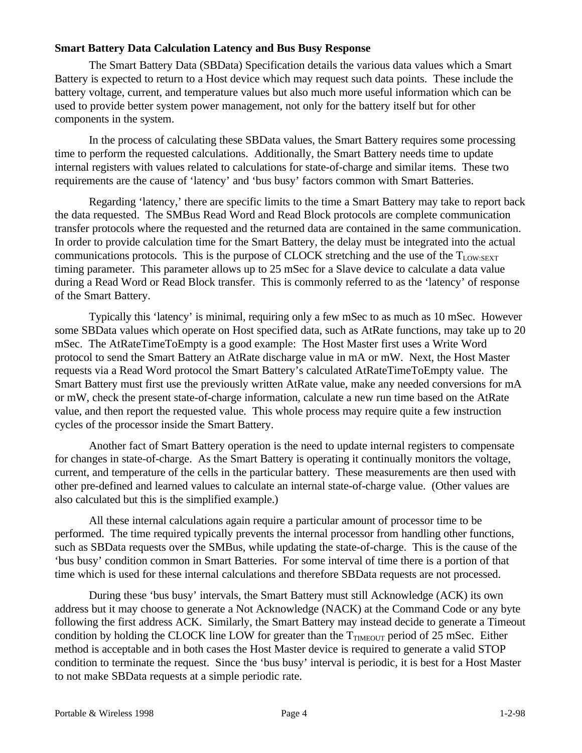#### **Smart Battery Data Calculation Latency and Bus Busy Response**

The Smart Battery Data (SBData) Specification details the various data values which a Smart Battery is expected to return to a Host device which may request such data points. These include the battery voltage, current, and temperature values but also much more useful information which can be used to provide better system power management, not only for the battery itself but for other components in the system.

In the process of calculating these SBData values, the Smart Battery requires some processing time to perform the requested calculations. Additionally, the Smart Battery needs time to update internal registers with values related to calculations for state-of-charge and similar items. These two requirements are the cause of 'latency' and 'bus busy' factors common with Smart Batteries.

Regarding 'latency,' there are specific limits to the time a Smart Battery may take to report back the data requested. The SMBus Read Word and Read Block protocols are complete communication transfer protocols where the requested and the returned data are contained in the same communication. In order to provide calculation time for the Smart Battery, the delay must be integrated into the actual communications protocols. This is the purpose of CLOCK stretching and the use of the  $T_{LOW:SEXT}$ timing parameter. This parameter allows up to 25 mSec for a Slave device to calculate a data value during a Read Word or Read Block transfer. This is commonly referred to as the 'latency' of response of the Smart Battery.

Typically this 'latency' is minimal, requiring only a few mSec to as much as 10 mSec. However some SBData values which operate on Host specified data, such as AtRate functions, may take up to 20 mSec. The AtRateTimeToEmpty is a good example: The Host Master first uses a Write Word protocol to send the Smart Battery an AtRate discharge value in mA or mW. Next, the Host Master requests via a Read Word protocol the Smart Battery's calculated AtRateTimeToEmpty value. The Smart Battery must first use the previously written AtRate value, make any needed conversions for mA or mW, check the present state-of-charge information, calculate a new run time based on the AtRate value, and then report the requested value. This whole process may require quite a few instruction cycles of the processor inside the Smart Battery.

Another fact of Smart Battery operation is the need to update internal registers to compensate for changes in state-of-charge. As the Smart Battery is operating it continually monitors the voltage, current, and temperature of the cells in the particular battery. These measurements are then used with other pre-defined and learned values to calculate an internal state-of-charge value. (Other values are also calculated but this is the simplified example.)

All these internal calculations again require a particular amount of processor time to be performed. The time required typically prevents the internal processor from handling other functions, such as SBData requests over the SMBus, while updating the state-of-charge. This is the cause of the 'bus busy' condition common in Smart Batteries. For some interval of time there is a portion of that time which is used for these internal calculations and therefore SBData requests are not processed.

During these 'bus busy' intervals, the Smart Battery must still Acknowledge (ACK) its own address but it may choose to generate a Not Acknowledge (NACK) at the Command Code or any byte following the first address ACK. Similarly, the Smart Battery may instead decide to generate a Timeout condition by holding the CLOCK line LOW for greater than the  $T_{\text{TMEOUT}}$  period of 25 mSec. Either method is acceptable and in both cases the Host Master device is required to generate a valid STOP condition to terminate the request. Since the 'bus busy' interval is periodic, it is best for a Host Master to not make SBData requests at a simple periodic rate.